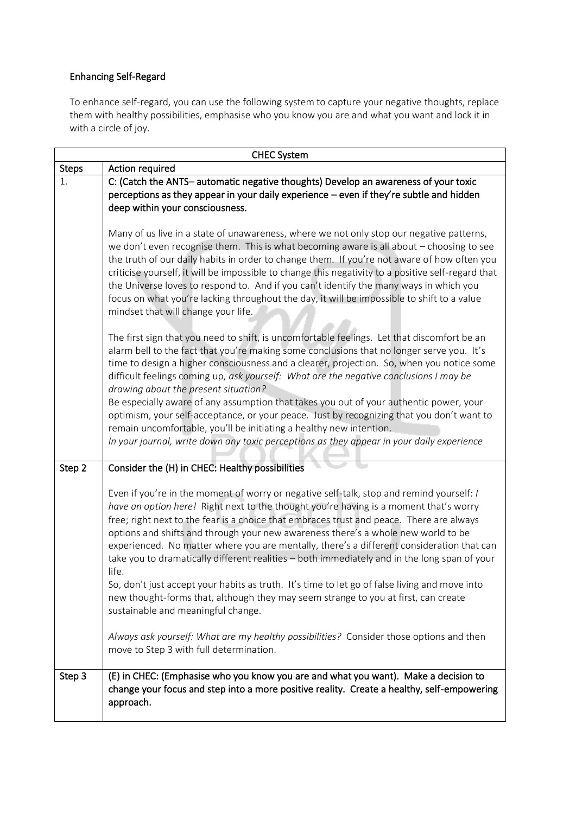## Enhancing Self-Regard

To enhance self-regard, you can use the following system to capture your negative thoughts, replace them with healthy possibilities, emphasise who you know you are and what you want and lock it in with a circle of joy.

| <b>CHEC System</b> |                                                                                                                                                                                                                                                                                                                                                                                                                                                                                                                                                                                                                                                                                                                                                                                    |  |
|--------------------|------------------------------------------------------------------------------------------------------------------------------------------------------------------------------------------------------------------------------------------------------------------------------------------------------------------------------------------------------------------------------------------------------------------------------------------------------------------------------------------------------------------------------------------------------------------------------------------------------------------------------------------------------------------------------------------------------------------------------------------------------------------------------------|--|
| <b>Steps</b>       | Action required                                                                                                                                                                                                                                                                                                                                                                                                                                                                                                                                                                                                                                                                                                                                                                    |  |
| 1.                 | C: (Catch the ANTS-automatic negative thoughts) Develop an awareness of your toxic<br>perceptions as they appear in your daily experience - even if they're subtle and hidden<br>deep within your consciousness.                                                                                                                                                                                                                                                                                                                                                                                                                                                                                                                                                                   |  |
|                    | Many of us live in a state of unawareness, where we not only stop our negative patterns,<br>we don't even recognise them. This is what becoming aware is all about - choosing to see<br>the truth of our daily habits in order to change them. If you're not aware of how often you<br>criticise yourself, it will be impossible to change this negativity to a positive self-regard that<br>the Universe loves to respond to. And if you can't identify the many ways in which you<br>focus on what you're lacking throughout the day, it will be impossible to shift to a value<br>mindset that will change your life.                                                                                                                                                           |  |
|                    | The first sign that you need to shift, is uncomfortable feelings. Let that discomfort be an<br>alarm bell to the fact that you're making some conclusions that no longer serve you. It's<br>time to design a higher consciousness and a clearer, projection. So, when you notice some<br>difficult feelings coming up, ask yourself: What are the negative conclusions I may be<br>drawing about the present situation?<br>Be especially aware of any assumption that takes you out of your authentic power, your<br>optimism, your self-acceptance, or your peace. Just by recognizing that you don't want to<br>remain uncomfortable, you'll be initiating a healthy new intention.<br>In your journal, write down any toxic perceptions as they appear in your daily experience |  |
| Step 2             | Consider the (H) in CHEC: Healthy possibilities                                                                                                                                                                                                                                                                                                                                                                                                                                                                                                                                                                                                                                                                                                                                    |  |
|                    | Even if you're in the moment of worry or negative self-talk, stop and remind yourself: /<br>have an option here! Right next to the thought you're having is a moment that's worry<br>free; right next to the fear is a choice that embraces trust and peace. There are always<br>options and shifts and through your new awareness there's a whole new world to be<br>experienced. No matter where you are mentally, there's a different consideration that can<br>take you to dramatically different realities - both immediately and in the long span of your<br>life.<br>So, don't just accept your habits as truth. It's time to let go of false living and move into<br>new thought-forms that, although they may seem strange to you at first, can create                    |  |
|                    | sustainable and meaningful change.<br>Always ask yourself: What are my healthy possibilities? Consider those options and then<br>move to Step 3 with full determination.                                                                                                                                                                                                                                                                                                                                                                                                                                                                                                                                                                                                           |  |
| Step 3             | (E) in CHEC: (Emphasise who you know you are and what you want). Make a decision to<br>change your focus and step into a more positive reality. Create a healthy, self-empowering<br>approach.                                                                                                                                                                                                                                                                                                                                                                                                                                                                                                                                                                                     |  |